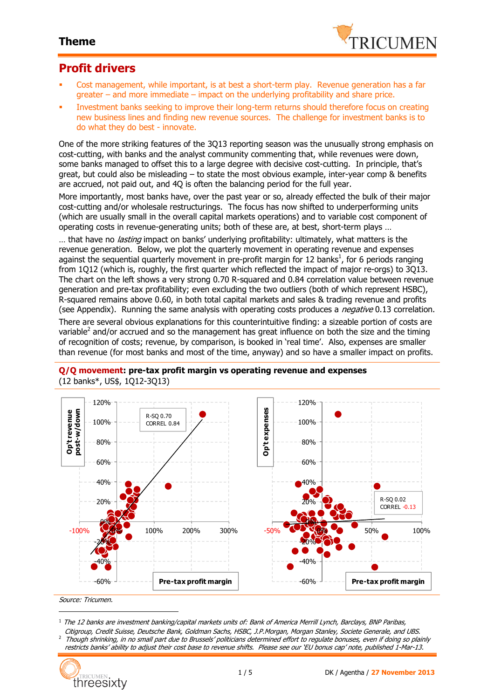

### **Profit drivers**

- Cost management, while important, is at best a short-term play. Revenue generation has a far greater – and more immediate – impact on the underlying profitability and share price.
- Investment banks seeking to improve their long-term returns should therefore focus on creating new business lines and finding new revenue sources. The challenge for investment banks is to do what they do best - innovate.

One of the more striking features of the 3Q13 reporting season was the unusually strong emphasis on cost-cutting, with banks and the analyst community commenting that, while revenues were down, some banks managed to offset this to a large degree with decisive cost-cutting. In principle, that's great, but could also be misleading – to state the most obvious example, inter-year comp & benefits are accrued, not paid out, and 4Q is often the balancing period for the full year.

More importantly, most banks have, over the past year or so, already effected the bulk of their major cost-cutting and/or wholesale restructurings. The focus has now shifted to underperforming units (which are usually small in the overall capital markets operations) and to variable cost component of operating costs in revenue-generating units; both of these are, at best, short-term plays …

... that have no *lasting* impact on banks' underlying profitability: ultimately, what matters is the revenue generation. Below, we plot the quarterly movement in operating revenue and expenses against the sequential quarterly movement in pre-profit margin for 12 banks<sup>1</sup>, for 6 periods ranging from 1Q12 (which is, roughly, the first quarter which reflected the impact of major re-orgs) to 3Q13. The chart on the left shows a very strong 0.70 R-squared and 0.84 correlation value between revenue generation and pre-tax profitability; even excluding the two outliers (both of which represent HSBC), R-squared remains above 0.60, in both total capital markets and sales & trading revenue and profits (see Appendix). Running the same analysis with operating costs produces a *negative* 0.13 correlation.

There are several obvious explanations for this counterintuitive finding: a sizeable portion of costs are variable<sup>2</sup> and/or accrued and so the management has great influence on both the size and the timing of recognition of costs; revenue, by comparison, is booked in 'real time'. Also, expenses are smaller than revenue (for most banks and most of the time, anyway) and so have a smaller impact on profits.



#### **Q/Q movement: pre-tax profit margin vs operating revenue and expenses** (12 banks\*, US\$, 1Q12-3Q13)

Citigroup, Credit Suisse, Deutsche Bank, Goldman Sachs, HSBC, J.P.Morgan, Morgan Stanley, Societe Generale, and UBS. 2 Though shrinking, in no small part due to Brussels' politicians determined effort to regulate bonuses, even if doing so plainly restricts banks' ability to adjust their cost base to revenue shifts. Please see our 'EU bonus cap' note, published 1-Mar-13.



 $\overline{a}$ 

 $^1$  The 12 banks are investment banking/capital markets units of: Bank of America Merrill Lynch, Barclays, BNP Paribas,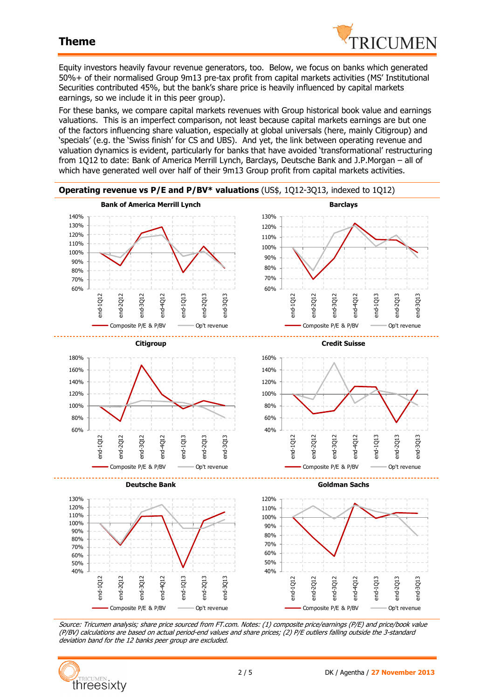

Equity investors heavily favour revenue generators, too. Below, we focus on banks which generated 50%+ of their normalised Group 9m13 pre-tax profit from capital markets activities (MS' Institutional Securities contributed 45%, but the bank's share price is heavily influenced by capital markets earnings, so we include it in this peer group).

For these banks, we compare capital markets revenues with Group historical book value and earnings valuations. This is an imperfect comparison, not least because capital markets earnings are but one of the factors influencing share valuation, especially at global universals (here, mainly Citigroup) and 'specials' (e.g. the 'Swiss finish' for CS and UBS). And yet, the link between operating revenue and valuation dynamics is evident, particularly for banks that have avoided 'transformational' restructuring from 1Q12 to date: Bank of America Merrill Lynch, Barclays, Deutsche Bank and J.P.Morgan – all of which have generated well over half of their 9m13 Group profit from capital markets activities.



Source: Tricumen analysis; share price sourced from FT.com. Notes: (1) composite price/earnings (P/E) and price/book value (P/BV) calculations are based on actual period-end values and share prices; (2) P/E outliers falling outside the 3-standard deviation band for the 12 banks peer group are excluded.

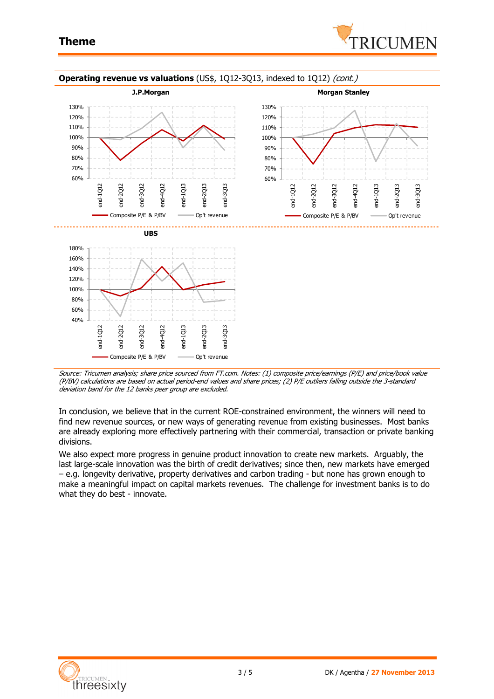



#### **Operating revenue vs valuations** (US\$, 1Q12-3Q13, indexed to 1Q12) (cont.)

Source: Tricumen analysis; share price sourced from FT.com. Notes: (1) composite price/earnings (P/E) and price/book value (P/BV) calculations are based on actual period-end values and share prices; (2) P/E outliers falling outside the 3-standard deviation band for the 12 banks peer group are excluded.

In conclusion, we believe that in the current ROE-constrained environment, the winners will need to find new revenue sources, or new ways of generating revenue from existing businesses. Most banks are already exploring more effectively partnering with their commercial, transaction or private banking divisions.

We also expect more progress in genuine product innovation to create new markets. Arguably, the last large-scale innovation was the birth of credit derivatives; since then, new markets have emerged – e.g. longevity derivative, property derivatives and carbon trading - but none has grown enough to make a meaningful impact on capital markets revenues. The challenge for investment banks is to do what they do best - innovate.

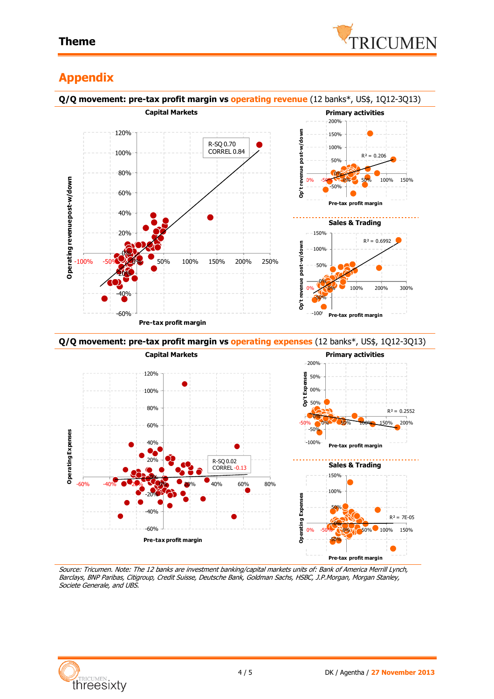

# **Appendix**



Source: Tricumen. Note: The 12 banks are investment banking/capital markets units of: Bank of America Merrill Lynch, Barclays, BNP Paribas, Citigroup, Credit Suisse, Deutsche Bank, Goldman Sachs, HSBC, J.P.Morgan, Morgan Stanley, Societe Generale, and UBS.